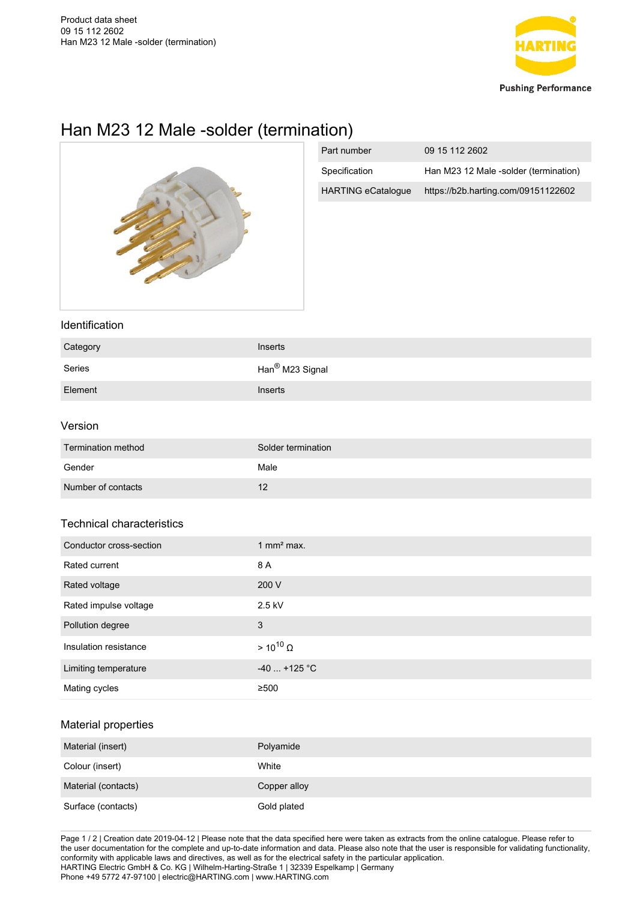

# Han M23 12 Male -solder (termination)



| Part number               | 09 15 112 2602                        |
|---------------------------|---------------------------------------|
| Specification             | Han M23 12 Male -solder (termination) |
| <b>HARTING eCatalogue</b> | https://b2b.harting.com/09151122602   |

#### Identification

| Category | <b>Inserts</b>              |
|----------|-----------------------------|
| Series   | Han <sup>®</sup> M23 Signal |
| Element  | <b>Inserts</b>              |

### Version

| Termination method | Solder termination |
|--------------------|--------------------|
| Gender             | Male               |
| Number of contacts | 12                 |

# Technical characteristics

| Conductor cross-section | 1 mm <sup>2</sup> max. |
|-------------------------|------------------------|
| Rated current           | 8 A                    |
| Rated voltage           | 200 V                  |
| Rated impulse voltage   | 2.5 kV                 |
| Pollution degree        | 3                      |
| Insulation resistance   | $> 10^{10}$ $\Omega$   |
| Limiting temperature    | $-40$ +125 °C          |
| Mating cycles           | ≥500                   |

# Material properties

| Material (insert)   | Polyamide    |
|---------------------|--------------|
| Colour (insert)     | White        |
| Material (contacts) | Copper alloy |
| Surface (contacts)  | Gold plated  |

Page 1 / 2 | Creation date 2019-04-12 | Please note that the data specified here were taken as extracts from the online catalogue. Please refer to the user documentation for the complete and up-to-date information and data. Please also note that the user is responsible for validating functionality, conformity with applicable laws and directives, as well as for the electrical safety in the particular application. HARTING Electric GmbH & Co. KG | Wilhelm-Harting-Straße 1 | 32339 Espelkamp | Germany Phone +49 5772 47-97100 | electric@HARTING.com | www.HARTING.com